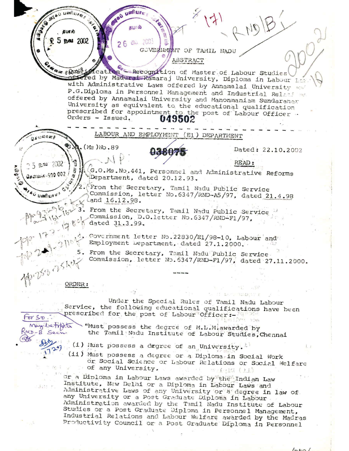SE SATAD LIFERATION தபூரல் **5 Bal 2002** 26 00 2003 E GOVERNMENT OF TAMIL NADU ABSTRACT Www.6000findertion -Recognition of Master of Labour Studies offered by Madurai Ramaraj University, Diploma in Labour Labo with Administrative Laws offered by Annamalai University and P.G.Diploma in Personnel Management and Industrial Relations offered by Annamalai University and Manonmaniam Sundaranar University as equivalent to the educational qualification prescribed for appointment to the post of Labour Officer. Orders - Issued. 049502 LABOUR AND EMPLOYMENT (E1) DEPARTMENT  $Q_4$   $(1)$  a)  $T$  and 中心  $(Ms)$ No.89 Dated: 22.10.2002 READ:  $5.59$  2002  $\frac{\pi}{5}$ # 1 (G.O.Ms. No. 441, Personnel and Administrative Reforms **SUBSIDE** சென்கை-500 002 / Department, dated 20.12.93. Q. From the Secretary, Tamil Nadu Public Service FAU UMPULSY! Commission, letter No.6347/RND-A5/97, dated 21.4.98 land 16.12.98. From the Secretary, Tamil Nadu Public Service Commission, D.O.letter No.6347/RND-F1/97, dated 31.3.99. , Covernment letter No. 22830/E1/98-10, Labour and Employment Department, dated 27.1.2000. 5. From the Secretary, Tamil Nadu Public Service Job 253 256th Commission, letter No. 6347/RMD-F1/97, dated 27.11.2000. ORDER: Under the Special Rules of Tamil Nadu Labour Service, the following educational qualifications have been prescribed for the post of Labour Officer: $for$   $5D$ May betoft. "Must possess the degree of M.L.M. awarded by KND-B Sech the Tamil Nadu Institute of Labour Studies, Chennai  $8832$ (i) Must possess a degree of an University. (ii) Must possess a degree or a Diplomatin Social Work or Social Science or Labour Relations or Social Welfare of any University. (ii) Divir or a Diploma in Labour Laws awarded by the Indian Law Institute, New Delhi or a Diploma in Labour Laws and Uds r. Administrative Laws of any University or a degree in law of any University or a Post Graduate Diploma in Labour Administration awarded by the Tamil Nadu Institute of Labour Studies or a Post Graduate Diploma in Personnel Management, Industrial Relations and Labour Welfare awarded by the Madras Productivity Council or a Post Graduate Diploma in Personnel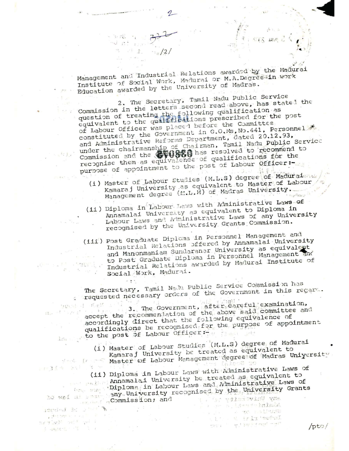Management and Industrial Relations awarded by the Madurai Institute of Social Work, Madurai or M.A.Degreemin work Education awarded by the University of Madras.

na stáil น กำ

s fil

 $-5.1$ 

五八字

2. The Secretary, Tamil Nadu Public Service Commission in the letters second read above, has stated the question of treating the following qualification as<br>equivalent to the qualifications prescribed for the post of Labour Officer was placed before the Committee constituted by the Government in G.O.Ms, No.441, Personnel and Administrative Reforms Department, dated 20.12.93, under the chairmanship of Chairman, Tamil Nadu Public Service<br>Commission and the Coupe of the resolved to recommend to recognise them as equivalence of qualifications for the purpose of appointment to the post of Labour Officer:-

- (i) Master of Labour Studies (M.L.S) degree of Madurate as Kamaraj University as equivalent to Master of Labour Management degree (M.L.M) of Madras University.  $\epsilon_{12} \beta_{\rm GR, U}$   $^{-1}$
- (ii) Diploma in Labour Laws with Administrative Laws of Annamalai University as equivalent to Diploma in Labour Laws and Miministrative Laws of any University recognised by the University Grants Commission.
- (iii) Post Graduate Diploma in Personnel Management and Industrial Relations offered by Annamalai University and Manonmaniam Sundaranar University as equivalent Industrial Relations awarded by Madurai Institute of **STERNE PRODUCT** te age Social Work, Madurai.

The Secretary, Tamil Nadu Public Service Commission has requested necessary orders of the Government in this regard.

accept the recommentation of the above said committee and  $\Omega_{\rm{E}}e^{-\beta\int_0^t\frac{\omega}{\omega}\int_0^t\rho_{\rm{E}}}\left(\frac{\omega}{\omega}\right)^{1/2}$ accordingly direct that the following equivalence of qualifications be recognised for the purpose of appointment low to the post of Labour Officers is the state

(i) Master of Labour Studies (M.L.S) degree of Madurai Kamaraj University be treated as equivalent to

 $\label{eq:optimal} \textit{joint} \mapsto \textit{t-1}, \quad \alpha = \alpha.$ 

alle a trix'edhal

 $\label{eq:1} \mathcal{O}(1) = - \mathcal{O} \left( \frac{1}{\epsilon} \left[ \mathcal{O} \right] \right) \times \mathcal{O} \left( \epsilon \right) = \mathcal{O} \left( \epsilon \right)$ 

6 TO 15 MODE

Management degree of Wadras University.  $r \in \mathbb{R}$  is the state

(ii) Diploma in Labour Laws with Administrative Laws of Annamalai University be treated as equivalent to Diploma in Labour Laws and Administrative Laws of to well all some any University recognised by the University Grants commission; and any University of a

ided at a man A  $\label{eq:R1} \mathbf{r}^{\frac{1}{2}k+1-\frac{1}{2}k+1-\lambda-\lambda-\nu} \mathbf{r}^{\frac{1}{2}k+1-\frac{1}{2}\lambda-\nu-\lambda-\frac{1}{2}}.$ SET OF BUT YOU BE SAND A mines of the con-

 $/pto/$